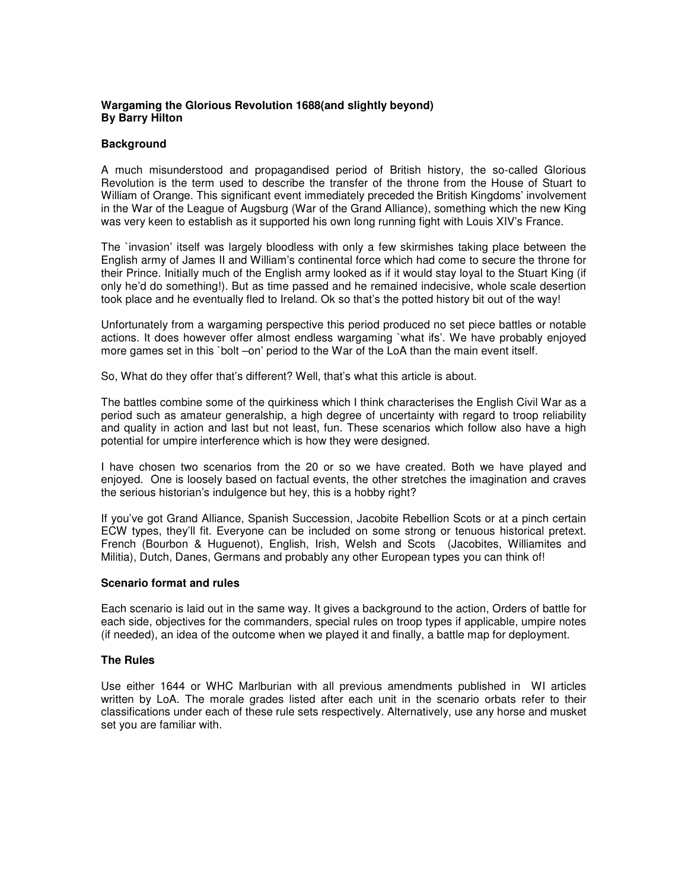## **Wargaming the Glorious Revolution 1688(and slightly beyond) By Barry Hilton**

## **Background**

A much misunderstood and propagandised period of British history, the so-called Glorious Revolution is the term used to describe the transfer of the throne from the House of Stuart to William of Orange. This significant event immediately preceded the British Kingdoms' involvement in the War of the League of Augsburg (War of the Grand Alliance), something which the new King was very keen to establish as it supported his own long running fight with Louis XIV's France.

The `invasion' itself was largely bloodless with only a few skirmishes taking place between the English army of James II and William's continental force which had come to secure the throne for their Prince. Initially much of the English army looked as if it would stay loyal to the Stuart King (if only he'd do something!). But as time passed and he remained indecisive, whole scale desertion took place and he eventually fled to Ireland. Ok so that's the potted history bit out of the way!

Unfortunately from a wargaming perspective this period produced no set piece battles or notable actions. It does however offer almost endless wargaming `what ifs'. We have probably enjoyed more games set in this `bolt –on' period to the War of the LoA than the main event itself.

So, What do they offer that's different? Well, that's what this article is about.

The battles combine some of the quirkiness which I think characterises the English Civil War as a period such as amateur generalship, a high degree of uncertainty with regard to troop reliability and quality in action and last but not least, fun. These scenarios which follow also have a high potential for umpire interference which is how they were designed.

I have chosen two scenarios from the 20 or so we have created. Both we have played and enjoyed. One is loosely based on factual events, the other stretches the imagination and craves the serious historian's indulgence but hey, this is a hobby right?

If you've got Grand Alliance, Spanish Succession, Jacobite Rebellion Scots or at a pinch certain ECW types, they'll fit. Everyone can be included on some strong or tenuous historical pretext. French (Bourbon & Huguenot), English, Irish, Welsh and Scots (Jacobites, Williamites and Militia), Dutch, Danes, Germans and probably any other European types you can think of!

#### **Scenario format and rules**

Each scenario is laid out in the same way. It gives a background to the action, Orders of battle for each side, objectives for the commanders, special rules on troop types if applicable, umpire notes (if needed), an idea of the outcome when we played it and finally, a battle map for deployment.

#### **The Rules**

Use either 1644 or WHC Marlburian with all previous amendments published in WI articles written by LoA. The morale grades listed after each unit in the scenario orbats refer to their classifications under each of these rule sets respectively. Alternatively, use any horse and musket set you are familiar with.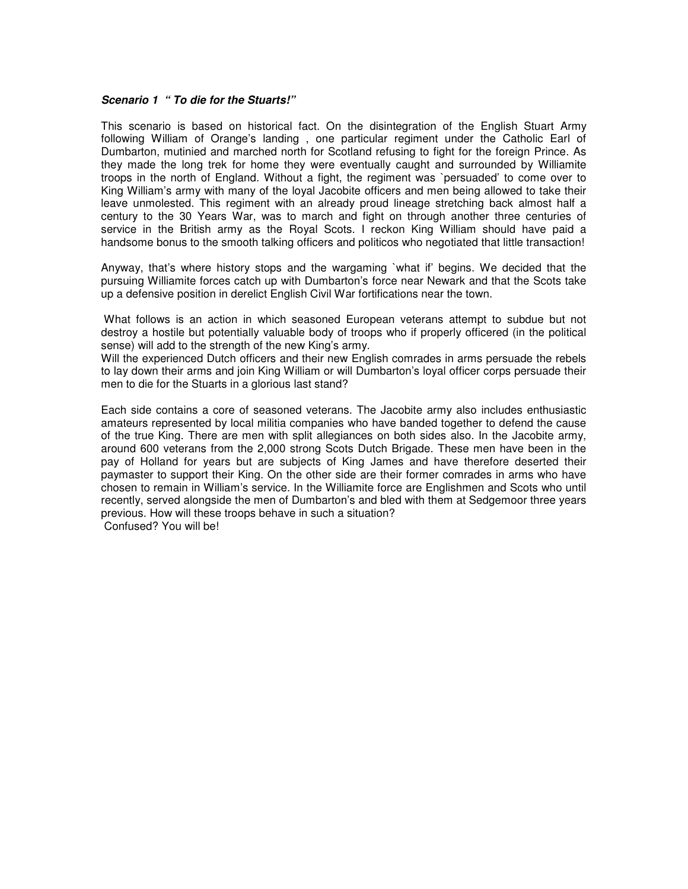#### *Scenario 1 " To die for the Stuarts!"*

This scenario is based on historical fact. On the disintegration of the English Stuart Army following William of Orange's landing , one particular regiment under the Catholic Earl of Dumbarton, mutinied and marched north for Scotland refusing to fight for the foreign Prince. As they made the long trek for home they were eventually caught and surrounded by Williamite troops in the north of England. Without a fight, the regiment was `persuaded' to come over to King William's army with many of the loyal Jacobite officers and men being allowed to take their leave unmolested. This regiment with an already proud lineage stretching back almost half a century to the 30 Years War, was to march and fight on through another three centuries of service in the British army as the Royal Scots. I reckon King William should have paid a handsome bonus to the smooth talking officers and politicos who negotiated that little transaction!

Anyway, that's where history stops and the wargaming `what if' begins. We decided that the pursuing Williamite forces catch up with Dumbarton's force near Newark and that the Scots take up a defensive position in derelict English Civil War fortifications near the town.

What follows is an action in which seasoned European veterans attempt to subdue but not destroy a hostile but potentially valuable body of troops who if properly officered (in the political sense) will add to the strength of the new King's army.

Will the experienced Dutch officers and their new English comrades in arms persuade the rebels to lay down their arms and join King William or will Dumbarton's loyal officer corps persuade their men to die for the Stuarts in a glorious last stand?

Each side contains a core of seasoned veterans. The Jacobite army also includes enthusiastic amateurs represented by local militia companies who have banded together to defend the cause of the true King. There are men with split allegiances on both sides also. In the Jacobite army, around 600 veterans from the 2,000 strong Scots Dutch Brigade. These men have been in the pay of Holland for years but are subjects of King James and have therefore deserted their paymaster to support their King. On the other side are their former comrades in arms who have chosen to remain in William's service. In the Williamite force are Englishmen and Scots who until recently, served alongside the men of Dumbarton's and bled with them at Sedgemoor three years previous. How will these troops behave in such a situation? Confused? You will be!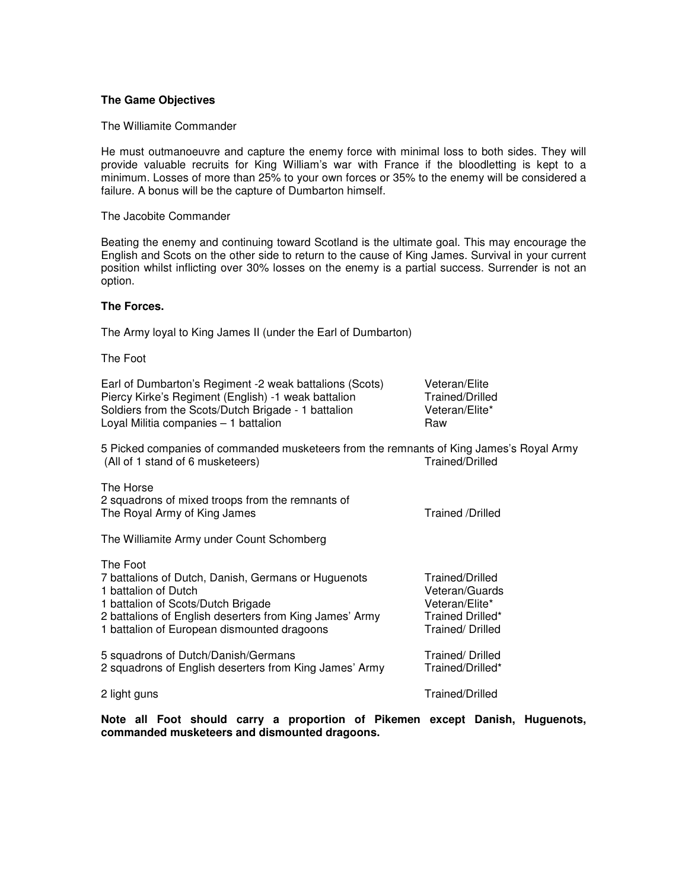#### **The Game Objectives**

The Williamite Commander

He must outmanoeuvre and capture the enemy force with minimal loss to both sides. They will provide valuable recruits for King William's war with France if the bloodletting is kept to a minimum. Losses of more than 25% to your own forces or 35% to the enemy will be considered a failure. A bonus will be the capture of Dumbarton himself.

The Jacobite Commander

Beating the enemy and continuing toward Scotland is the ultimate goal. This may encourage the English and Scots on the other side to return to the cause of King James. Survival in your current position whilst inflicting over 30% losses on the enemy is a partial success. Surrender is not an option.

#### **The Forces.**

The Army loyal to King James II (under the Earl of Dumbarton)

The Foot

| Earl of Dumbarton's Regiment -2 weak battalions (Scots) | Veteran/Elite   |
|---------------------------------------------------------|-----------------|
| Piercy Kirke's Regiment (English) -1 weak battalion     | Trained/Drilled |
| Soldiers from the Scots/Dutch Brigade - 1 battalion     | Veteran/Elite*  |
| Loyal Militia companies - 1 battalion                   | Raw             |

5 Picked companies of commanded musketeers from the remnants of King James's Royal Army (All of 1 stand of 6 musketeers) Trained/Drilled

The Horse 2 squadrons of mixed troops from the remnants of The Royal Army of King James Trained /Drilled

The Williamite Army under Count Schomberg

| The Foot                                                |                  |
|---------------------------------------------------------|------------------|
| 7 battalions of Dutch, Danish, Germans or Huguenots     | Trained/Drilled  |
| 1 battalion of Dutch                                    | Veteran/Guards   |
| 1 battalion of Scots/Dutch Brigade                      | Veteran/Elite*   |
| 2 battalions of English deserters from King James' Army | Trained Drilled* |
| 1 battalion of European dismounted dragoons             | Trained/Drilled  |
| 5 squadrons of Dutch/Danish/Germans                     | Trained/Drilled  |
| 2 squadrons of English deserters from King James' Army  | Trained/Drilled* |
| 2 light guns                                            | Trained/Drilled  |

**Note all Foot should carry a proportion of Pikemen except Danish, Huguenots, commanded musketeers and dismounted dragoons.**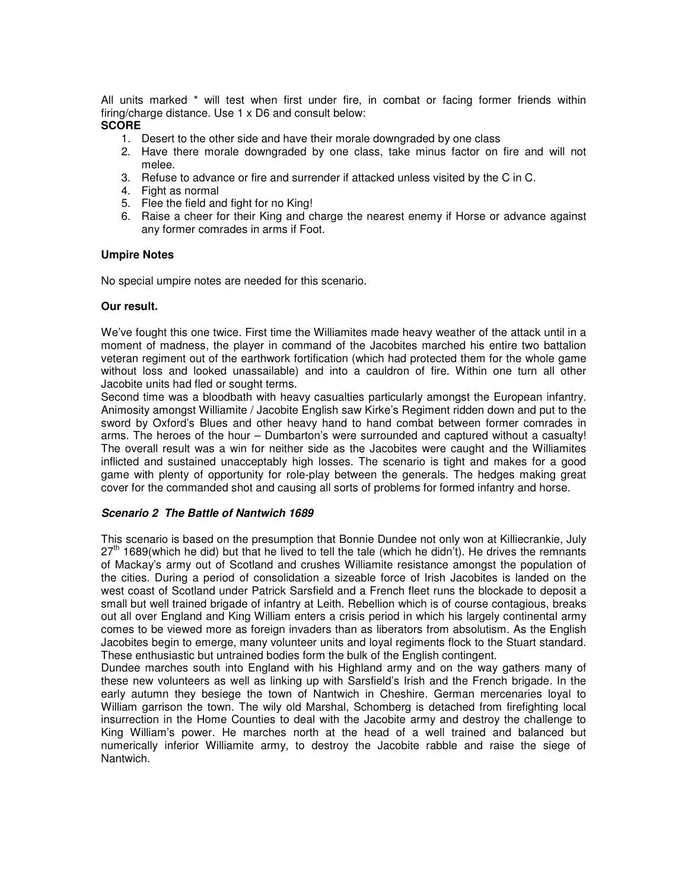All units marked \* will test when first under fire, in combat or facing former friends within firing/charge distance. Use 1 x D6 and consult below:

## **SCORE**

- 1. Desert to the other side and have their morale downgraded by one class
- 2. Have there morale downgraded by one class, take minus factor on fire and will not melee.
- 3. Refuse to advance or fire and surrender if attacked unless visited by the C in C.
- 4. Fight as normal
- 5. Flee the field and fight for no King!
- 6. Raise a cheer for their King and charge the nearest enemy if Horse or advance against any former comrades in arms if Foot.

#### **Umpire Notes**

No special umpire notes are needed for this scenario.

#### **Our result.**

We've fought this one twice. First time the Williamites made heavy weather of the attack until in a moment of madness, the player in command of the Jacobites marched his entire two battalion veteran regiment out of the earthwork fortification (which had protected them for the whole game without loss and looked unassailable) and into a cauldron of fire. Within one turn all other Jacobite units had fled or sought terms.

Second time was a bloodbath with heavy casualties particularly amongst the European infantry. Animosity amongst Williamite / Jacobite English saw Kirke's Regiment ridden down and put to the sword by Oxford's Blues and other heavy hand to hand combat between former comrades in arms. The heroes of the hour – Dumbarton's were surrounded and captured without a casualty! The overall result was a win for neither side as the Jacobites were caught and the Williamites inflicted and sustained unacceptably high losses. The scenario is tight and makes for a good game with plenty of opportunity for role-play between the generals. The hedges making great cover for the commanded shot and causing all sorts of problems for formed infantry and horse.

#### *Scenario 2 The Battle of Nantwich 1689*

This scenario is based on the presumption that Bonnie Dundee not only won at Killiecrankie, July 27<sup>th</sup> 1689(which he did) but that he lived to tell the tale (which he didn't). He drives the remnants of Mackay's army out of Scotland and crushes Williamite resistance amongst the population of the cities. During a period of consolidation a sizeable force of Irish Jacobites is landed on the west coast of Scotland under Patrick Sarsfield and a French fleet runs the blockade to deposit a small but well trained brigade of infantry at Leith. Rebellion which is of course contagious, breaks out all over England and King William enters a crisis period in which his largely continental army comes to be viewed more as foreign invaders than as liberators from absolutism. As the English Jacobites begin to emerge, many volunteer units and loyal regiments flock to the Stuart standard. These enthusiastic but untrained bodies form the bulk of the English contingent.

Dundee marches south into England with his Highland army and on the way gathers many of these new volunteers as well as linking up with Sarsfield's Irish and the French brigade. In the early autumn they besiege the town of Nantwich in Cheshire. German mercenaries loyal to William garrison the town. The wily old Marshal, Schomberg is detached from firefighting local insurrection in the Home Counties to deal with the Jacobite army and destroy the challenge to King William's power. He marches north at the head of a well trained and balanced but numerically inferior Williamite army, to destroy the Jacobite rabble and raise the siege of Nantwich.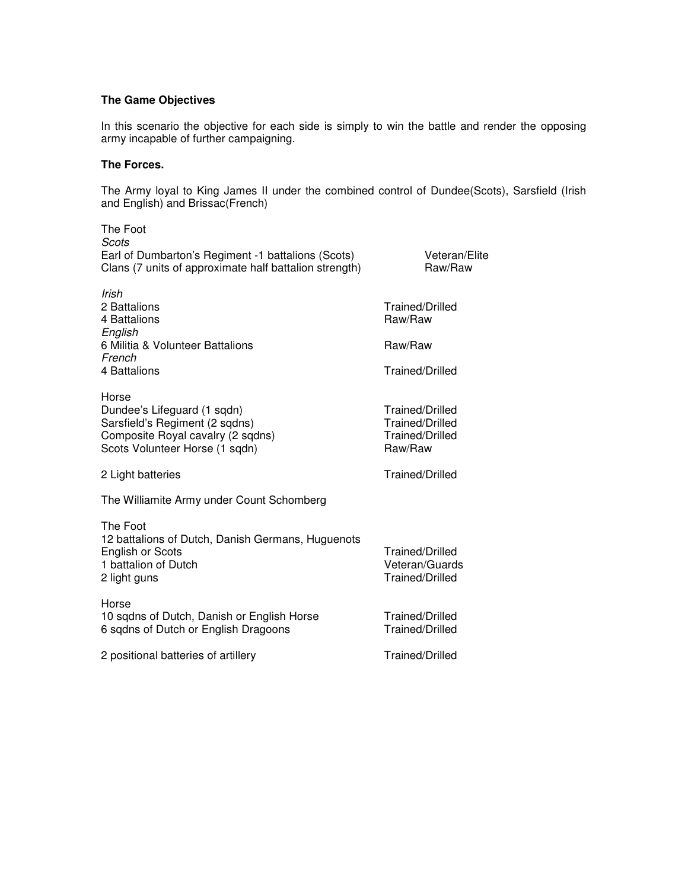# **The Game Objectives**

In this scenario the objective for each side is simply to win the battle and render the opposing army incapable of further campaigning.

### **The Forces.**

The Army loyal to King James II under the combined control of Dundee(Scots), Sarsfield (Irish and English) and Brissac(French)

| The Foot<br>Scots<br>Earl of Dumbarton's Regiment -1 battalions (Scots)<br>Clans (7 units of approximate half battalion strength)             | <b>Veteran/Elite</b><br>Raw/Raw                                  |
|-----------------------------------------------------------------------------------------------------------------------------------------------|------------------------------------------------------------------|
| Irish<br>2 Battalions<br>4 Battalions<br>English                                                                                              | <b>Trained/Drilled</b><br>Raw/Raw                                |
| 6 Militia & Volunteer Battalions                                                                                                              | Raw/Raw                                                          |
| French<br>4 Battalions                                                                                                                        | Trained/Drilled                                                  |
| Horse<br>Dundee's Lifeguard (1 sqdn)<br>Sarsfield's Regiment (2 sqdns)<br>Composite Royal cavalry (2 sqdns)<br>Scots Volunteer Horse (1 sqdn) | Trained/Drilled<br>Trained/Drilled<br>Trained/Drilled<br>Raw/Raw |
| 2 Light batteries                                                                                                                             | <b>Trained/Drilled</b>                                           |
| The Williamite Army under Count Schomberg                                                                                                     |                                                                  |
| The Foot<br>12 battalions of Dutch, Danish Germans, Huguenots<br><b>English or Scots</b><br>1 battalion of Dutch<br>2 light guns              | Trained/Drilled<br>Veteran/Guards<br>Trained/Drilled             |
| Horse<br>10 sqdns of Dutch, Danish or English Horse<br>6 sqdns of Dutch or English Dragoons                                                   | Trained/Drilled<br><b>Trained/Drilled</b>                        |
| 2 positional batteries of artillery                                                                                                           | Trained/Drilled                                                  |
|                                                                                                                                               |                                                                  |